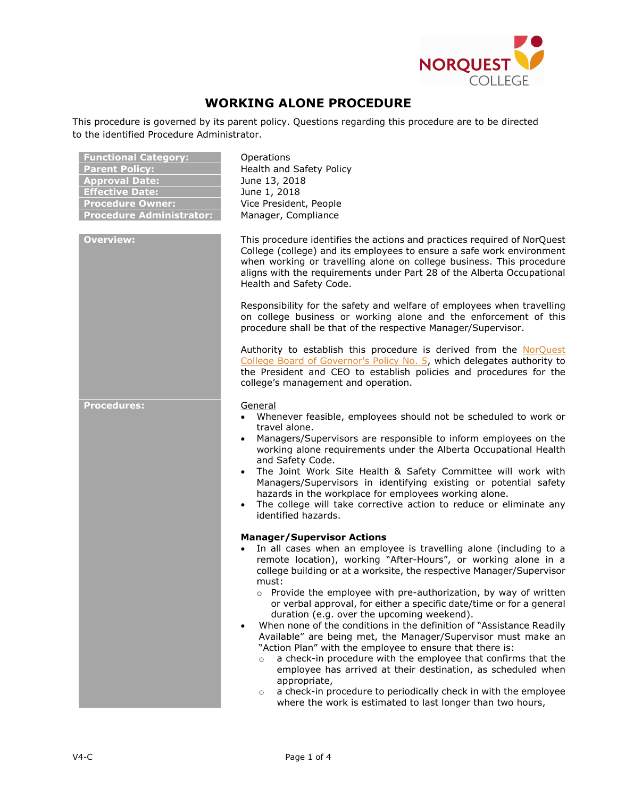

# **WORKING ALONE PROCEDURE**

This procedure is governed by its parent policy. Questions regarding this procedure are to be directed to the identified Procedure Administrator.

| <b>Functional Category:</b><br><b>Parent Policy:</b><br><b>Approval Date:</b><br><b>Effective Date:</b><br><b>Procedure Owner:</b><br><b>Procedure Administrator:</b> | Operations<br>Health and Safety Policy<br>June 13, 2018<br>June 1, 2018<br>Vice President, People<br>Manager, Compliance                                                                                                                                                                                                                                                                                                                                                                                                                                                                                                                                                                                                                                                                                                                                                                                                                                                             |
|-----------------------------------------------------------------------------------------------------------------------------------------------------------------------|--------------------------------------------------------------------------------------------------------------------------------------------------------------------------------------------------------------------------------------------------------------------------------------------------------------------------------------------------------------------------------------------------------------------------------------------------------------------------------------------------------------------------------------------------------------------------------------------------------------------------------------------------------------------------------------------------------------------------------------------------------------------------------------------------------------------------------------------------------------------------------------------------------------------------------------------------------------------------------------|
| <b>Overview:</b>                                                                                                                                                      | This procedure identifies the actions and practices required of NorQuest<br>College (college) and its employees to ensure a safe work environment<br>when working or travelling alone on college business. This procedure<br>aligns with the requirements under Part 28 of the Alberta Occupational<br>Health and Safety Code.<br>Responsibility for the safety and welfare of employees when travelling                                                                                                                                                                                                                                                                                                                                                                                                                                                                                                                                                                             |
|                                                                                                                                                                       | on college business or working alone and the enforcement of this<br>procedure shall be that of the respective Manager/Supervisor.                                                                                                                                                                                                                                                                                                                                                                                                                                                                                                                                                                                                                                                                                                                                                                                                                                                    |
|                                                                                                                                                                       | Authority to establish this procedure is derived from the NorQuest<br>College Board of Governor's Policy No. 5, which delegates authority to<br>the President and CEO to establish policies and procedures for the<br>college's management and operation.                                                                                                                                                                                                                                                                                                                                                                                                                                                                                                                                                                                                                                                                                                                            |
| <b>Procedures:</b>                                                                                                                                                    | General<br>• Whenever feasible, employees should not be scheduled to work or<br>travel alone.<br>Managers/Supervisors are responsible to inform employees on the<br>working alone requirements under the Alberta Occupational Health<br>and Safety Code.<br>The Joint Work Site Health & Safety Committee will work with<br>Managers/Supervisors in identifying existing or potential safety<br>hazards in the workplace for employees working alone.<br>• The college will take corrective action to reduce or eliminate any<br>identified hazards.                                                                                                                                                                                                                                                                                                                                                                                                                                 |
|                                                                                                                                                                       | <b>Manager/Supervisor Actions</b><br>In all cases when an employee is travelling alone (including to a<br>$\bullet$<br>remote location), working "After-Hours", or working alone in a<br>college building or at a worksite, the respective Manager/Supervisor<br>must:<br>$\circ$ Provide the employee with pre-authorization, by way of written<br>or verbal approval, for either a specific date/time or for a general<br>duration (e.g. over the upcoming weekend).<br>When none of the conditions in the definition of "Assistance Readily"<br>Available" are being met, the Manager/Supervisor must make an<br>"Action Plan" with the employee to ensure that there is:<br>a check-in procedure with the employee that confirms that the<br>$\circ$<br>employee has arrived at their destination, as scheduled when<br>appropriate,<br>a check-in procedure to periodically check in with the employee<br>$\circ$<br>where the work is estimated to last longer than two hours, |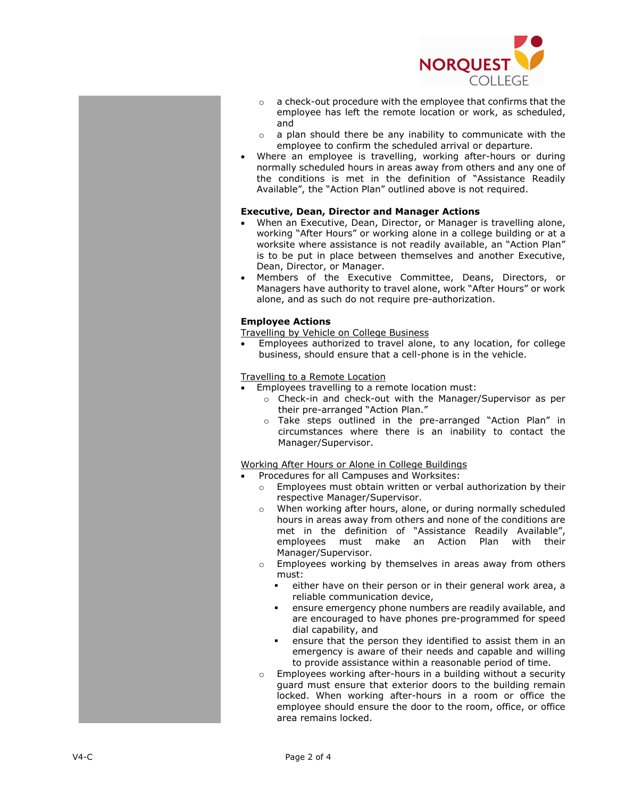

- $\circ$  a check-out procedure with the employee that confirms that the employee has left the remote location or work, as scheduled , and
- $\circ$  a plan should there be any inability to communicate with the employee to confirm the scheduled arrival or departure.
- Where an employee is travelling, working after -hours or during normally scheduled hours in areas away from others and any one of the conditions is met in the definition of "Assistance Readily Available", the "Action Plan" outlined above is not required.

## **Executive , Dean, Director and Manager Actions**

- When an Executive, Dean, Director , or Manager is travelling alone, working "After Hours" or working alone in a college building or at a worksite where assistance is not readily available, an "Action Plan " is to be put in place between themselves and another Executive, Dean, Director, or Manager .
- Members of the Executive Committee, Dean s, Director s , or Manager s have authority to travel alone, work "After Hours" or work alone , and as such do not require pre -authorization .

# **Employee Actions**

Travelling by Vehicle on College Business

• Employees authorized to travel alone, to any location, for college business, should ensure that a cell -phone is in the vehicle.

## Travelling to a Remote Location

- Employees travelling to a remote location must:
	- o Check-in and check-out with the Manager/Supervisor as per their pre -arranged "Action Plan . "
	- o Take steps outlined in the pre -arranged "Action Plan " in circumstances where there is an inability to contact the Manager/Supervisor .

# Working After Hours or Alone in College Buildings

- Procedures for all Campuses and Worksites:
	- o Employees must obtain written or verbal authorization by their respective Manager/Supervisor .
	- o When working after hours, alone , or during normally scheduled hours in areas away from others and none of the conditions are met in the definition of "Assistance Readily Available" , employees must make a n Action Plan with their Manager/Supervisor .
	- o Employees working by themselves in areas away from others must :
		- either have on their person or in their general work area, a reliable communication device ,
		- ensure emergency phone numbers are readily available , and are encouraged to have phones pre -programmed for speed dial capability , and
		- ensure that the person they identified to assist them in an emergency is aware of their needs and capable and willing to provide assistance within a reasonable period of time.
	- o Employees working after -hours in a building without a security guard must ensure that exterior doors to the building remain locked. When working after -hours in a room or office the employee should ensure the door to the room, office , or office area remains locked.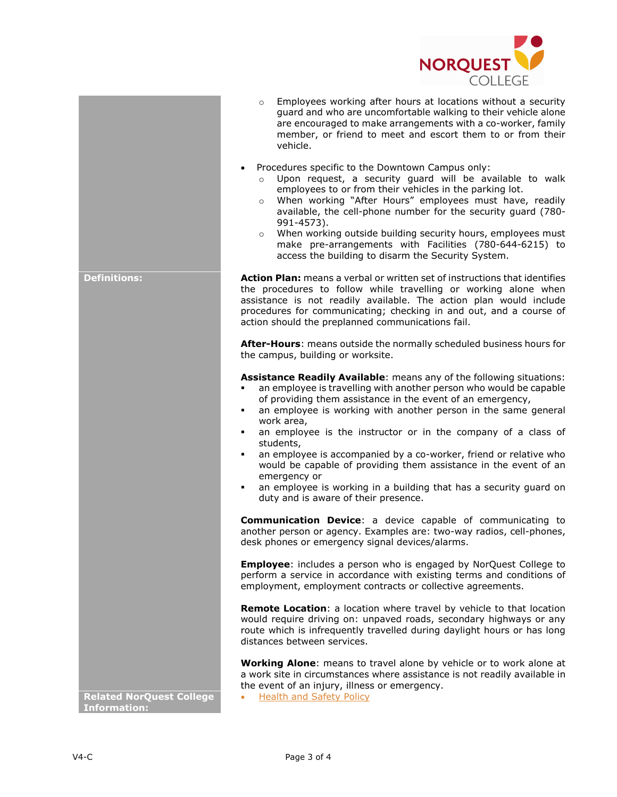

- o Employees working after hours at locations without a security guard and who are uncomfortable walking to their vehicle alone are encouraged to make arrangements with a co-worker, family member, or friend to meet and escort them to or from their vehicle.
- Procedures specific to the Downtown Campus only:
	- o Upon request, a security guard will be available to walk employees to or from their vehicles in the parking lot.
	- o When working "After Hours" employees must have, readily available, the cell-phone number for the security guard (780- 991-4573).
	- o When working outside building security hours, employees must make pre-arrangements with Facilities (780-644-6215) to access the building to disarm the Security System.

**Definitions: Action Plan:** means a verbal or written set of instructions that identifies the procedures to follow while travelling or working alone when assistance is not readily available. The action plan would include procedures for communicating; checking in and out, and a course of action should the preplanned communications fail.

> **After-Hours**: means outside the normally scheduled business hours for the campus, building or worksite.

> **Assistance Readily Available**: means any of the following situations:

- an employee is travelling with another person who would be capable of providing them assistance in the event of an emergency,
- an employee is working with another person in the same general work area,
- an employee is the instructor or in the company of a class of students,
- an employee is accompanied by a co-worker, friend or relative who would be capable of providing them assistance in the event of an emergency or
- an employee is working in a building that has a security guard on duty and is aware of their presence.

**Communication Device**: a device capable of communicating to another person or agency. Examples are: two-way radios, cell-phones, desk phones or emergency signal devices/alarms.

**Employee**: includes a person who is engaged by NorQuest College to perform a service in accordance with existing terms and conditions of employment, employment contracts or collective agreements.

**Remote Location**: a location where travel by vehicle to that location would require driving on: unpaved roads, secondary highways or any route which is infrequently travelled during daylight hours or has long distances between services.

**Working Alone**: means to travel alone by vehicle or to work alone at a work site in circumstances where assistance is not readily available in the event of an injury, illness or emergency.

**Related NorQuest College Information:**

• [Health and Safety Policy](http://www.norquest.ca/about-us/policies-procedures/operations/health-and-safety-policy.aspx)